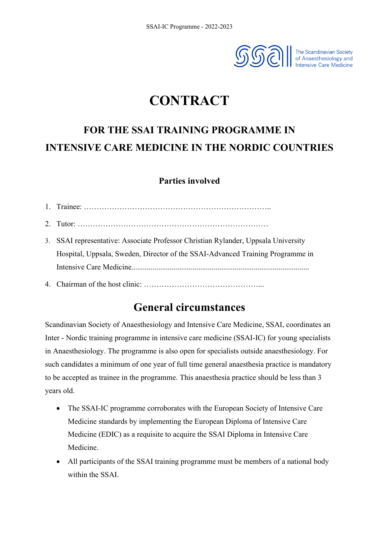

# **CONTRACT**

# **FOR THE SSAI TRAINING PROGRAMME IN INTENSIVE CARE MEDICINE IN THE NORDIC COUNTRIES**

## **Parties involved**

| 3. SSAI representative: Associate Professor Christian Rylander, Uppsala University |
|------------------------------------------------------------------------------------|
| Hospital, Uppsala, Sweden, Director of the SSAI-Advanced Training Programme in     |
|                                                                                    |
| 4 Chairman of the host clinic:                                                     |

## **General circumstances**

Scandinavian Society of Anaesthesiology and Intensive Care Medicine, SSAI, coordinates an Inter - Nordic training programme in intensive care medicine (SSAI-IC) for young specialists in Anaesthesiology. The programme is also open for specialists outside anaesthesiology. For such candidates a minimum of one year of full time general anaesthesia practice is mandatory to be accepted as trainee in the programme. This anaesthesia practice should be less than 3 years old.

- The SSAI-IC programme corroborates with the European Society of Intensive Care Medicine standards by implementing the European Diploma of Intensive Care Medicine (EDIC) as a requisite to acquire the SSAI Diploma in Intensive Care Medicine.
- All participants of the SSAI training programme must be members of a national body within the SSAI.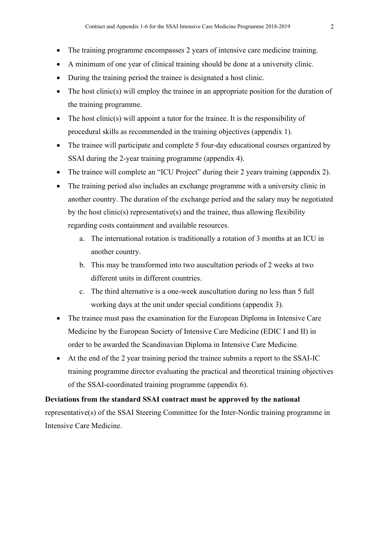- The training programme encompasses 2 years of intensive care medicine training.
- A minimum of one year of clinical training should be done at a university clinic.
- During the training period the trainee is designated a host clinic.
- The host clinic(s) will employ the trainee in an appropriate position for the duration of the training programme.
- The host clinic(s) will appoint a tutor for the trainee. It is the responsibility of procedural skills as recommended in the training objectives (appendix 1).
- The trainee will participate and complete 5 four-day educational courses organized by SSAI during the 2-year training programme (appendix 4).
- The trainee will complete an "ICU Project" during their 2 years training (appendix 2).
- The training period also includes an exchange programme with a university clinic in another country. The duration of the exchange period and the salary may be negotiated by the host clinic(s) representative(s) and the trainee, thus allowing flexibility regarding costs containment and available resources.
	- a. The international rotation is traditionally a rotation of 3 months at an ICU in another country.
	- b. This may be transformed into two auscultation periods of 2 weeks at two different units in different countries.
	- c. The third alternative is a one-week auscultation during no less than 5 full working days at the unit under special conditions (appendix 3).
- The trainee must pass the examination for the European Diploma in Intensive Care Medicine by the European Society of Intensive Care Medicine (EDIC I and II) in order to be awarded the Scandinavian Diploma in Intensive Care Medicine.
- At the end of the 2 year training period the trainee submits a report to the SSAI-IC training programme director evaluating the practical and theoretical training objectives of the SSAI-coordinated training programme (appendix 6).

#### **Deviations from the standard SSAI contract must be approved by the national**

representative(s) of the SSAI Steering Committee for the Inter-Nordic training programme in Intensive Care Medicine.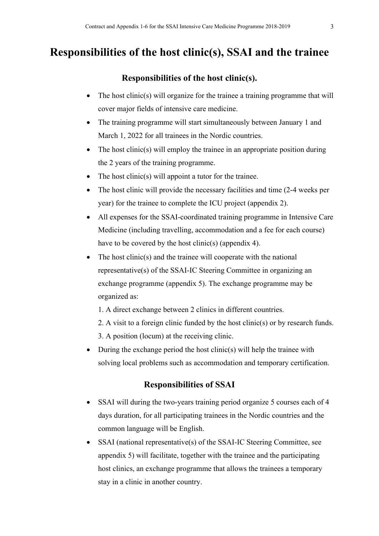## **Responsibilities of the host clinic(s), SSAI and the trainee**

### **Responsibilities of the host clinic(s).**

- The host clinic(s) will organize for the trainee a training programme that will cover major fields of intensive care medicine.
- The training programme will start simultaneously between January 1 and March 1, 2022 for all trainees in the Nordic countries.
- The host clinic(s) will employ the trainee in an appropriate position during the 2 years of the training programme.
- The host clinic(s) will appoint a tutor for the trainee.
- The host clinic will provide the necessary facilities and time (2-4 weeks per year) for the trainee to complete the ICU project (appendix 2).
- All expenses for the SSAI-coordinated training programme in Intensive Care Medicine (including travelling, accommodation and a fee for each course) have to be covered by the host clinic(s) (appendix 4).
- The host clinic(s) and the trainee will cooperate with the national representative(s) of the SSAI-IC Steering Committee in organizing an exchange programme (appendix 5). The exchange programme may be organized as:
	- 1. A direct exchange between 2 clinics in different countries.
	- 2. A visit to a foreign clinic funded by the host clinic(s) or by research funds.
	- 3. A position (locum) at the receiving clinic.
- During the exchange period the host clinic(s) will help the trainee with solving local problems such as accommodation and temporary certification.

### **Responsibilities of SSAI**

- SSAI will during the two-years training period organize 5 courses each of 4 days duration, for all participating trainees in the Nordic countries and the common language will be English.
- SSAI (national representative(s) of the SSAI-IC Steering Committee, see appendix 5) will facilitate, together with the trainee and the participating host clinics, an exchange programme that allows the trainees a temporary stay in a clinic in another country.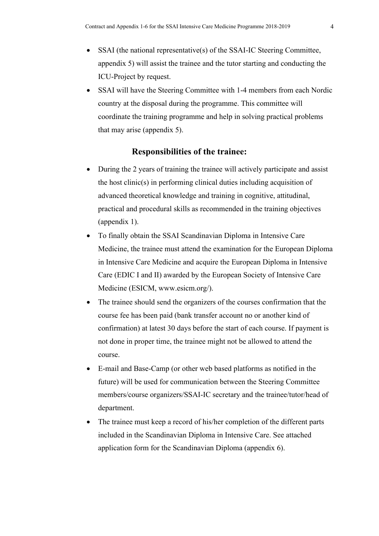- SSAI (the national representative(s) of the SSAI-IC Steering Committee, appendix 5) will assist the trainee and the tutor starting and conducting the ICU-Project by request.
- SSAI will have the Steering Committee with 1-4 members from each Nordic country at the disposal during the programme. This committee will coordinate the training programme and help in solving practical problems that may arise (appendix 5).

#### **Responsibilities of the trainee:**

- During the 2 years of training the trainee will actively participate and assist the host clinic(s) in performing clinical duties including acquisition of advanced theoretical knowledge and training in cognitive, attitudinal, practical and procedural skills as recommended in the training objectives (appendix 1).
- To finally obtain the SSAI Scandinavian Diploma in Intensive Care Medicine, the trainee must attend the examination for the European Diploma in Intensive Care Medicine and acquire the European Diploma in Intensive Care (EDIC I and II) awarded by the European Society of Intensive Care Medicine (ESICM, www.esicm.org/).
- The trainee should send the organizers of the courses confirmation that the course fee has been paid (bank transfer account no or another kind of confirmation) at latest 30 days before the start of each course. If payment is not done in proper time, the trainee might not be allowed to attend the course.
- E-mail and Base-Camp (or other web based platforms as notified in the future) will be used for communication between the Steering Committee members/course organizers/SSAI-IC secretary and the trainee/tutor/head of department.
- The trainee must keep a record of his/her completion of the different parts included in the Scandinavian Diploma in Intensive Care. See attached application form for the Scandinavian Diploma (appendix 6).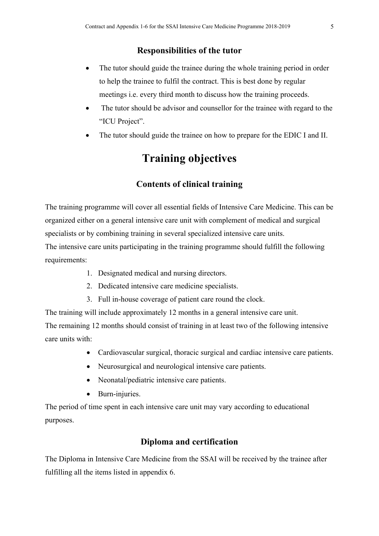#### **Responsibilities of the tutor**

- The tutor should guide the trainee during the whole training period in order to help the trainee to fulfil the contract. This is best done by regular meetings i.e. every third month to discuss how the training proceeds.
- The tutor should be advisor and counsellor for the trainee with regard to the "ICU Project".
- The tutor should guide the trainee on how to prepare for the EDIC I and II.

## **Training objectives**

#### **Contents of clinical training**

The training programme will cover all essential fields of Intensive Care Medicine. This can be organized either on a general intensive care unit with complement of medical and surgical specialists or by combining training in several specialized intensive care units.

The intensive care units participating in the training programme should fulfill the following requirements:

- 1. Designated medical and nursing directors.
- 2. Dedicated intensive care medicine specialists.
- 3. Full in-house coverage of patient care round the clock.

The training will include approximately 12 months in a general intensive care unit.

The remaining 12 months should consist of training in at least two of the following intensive care units with:

- Cardiovascular surgical, thoracic surgical and cardiac intensive care patients.
- Neurosurgical and neurological intensive care patients.
- Neonatal/pediatric intensive care patients.
- Burn-injuries.

The period of time spent in each intensive care unit may vary according to educational purposes.

#### **Diploma and certification**

The Diploma in Intensive Care Medicine from the SSAI will be received by the trainee after fulfilling all the items listed in appendix 6.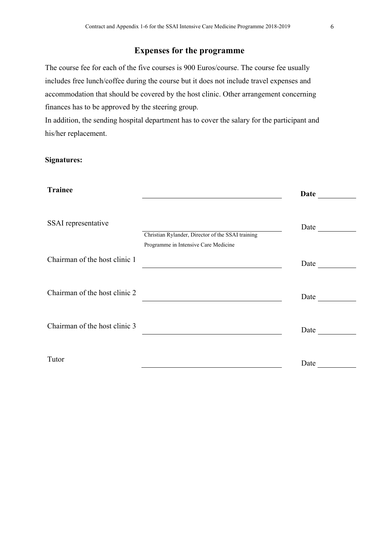### **Expenses for the programme**

The course fee for each of the five courses is 900 Euros/course. The course fee usually includes free lunch/coffee during the course but it does not include travel expenses and accommodation that should be covered by the host clinic. Other arrangement concerning finances has to be approved by the steering group.

In addition, the sending hospital department has to cover the salary for the participant and his/her replacement.

#### **Signatures:**

| <b>Trainee</b>                |                                                   | <b>Date</b> |
|-------------------------------|---------------------------------------------------|-------------|
| SSAI representative           | Christian Rylander, Director of the SSAI training | Date        |
| Chairman of the host clinic 1 | Programme in Intensive Care Medicine              | Date        |
| Chairman of the host clinic 2 |                                                   | Date        |
| Chairman of the host clinic 3 |                                                   | Date        |
| Tutor                         |                                                   | Date        |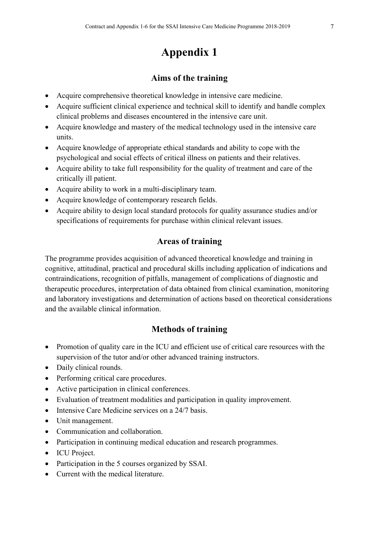## **Aims of the training**

- Acquire comprehensive theoretical knowledge in intensive care medicine.
- Acquire sufficient clinical experience and technical skill to identify and handle complex clinical problems and diseases encountered in the intensive care unit.
- Acquire knowledge and mastery of the medical technology used in the intensive care units.
- Acquire knowledge of appropriate ethical standards and ability to cope with the psychological and social effects of critical illness on patients and their relatives.
- Acquire ability to take full responsibility for the quality of treatment and care of the critically ill patient.
- Acquire ability to work in a multi-disciplinary team.
- Acquire knowledge of contemporary research fields.
- Acquire ability to design local standard protocols for quality assurance studies and/or specifications of requirements for purchase within clinical relevant issues.

#### **Areas of training**

The programme provides acquisition of advanced theoretical knowledge and training in cognitive, attitudinal, practical and procedural skills including application of indications and contraindications, recognition of pitfalls, management of complications of diagnostic and therapeutic procedures, interpretation of data obtained from clinical examination, monitoring and laboratory investigations and determination of actions based on theoretical considerations and the available clinical information.

### **Methods of training**

- Promotion of quality care in the ICU and efficient use of critical care resources with the supervision of the tutor and/or other advanced training instructors.
- Daily clinical rounds.
- Performing critical care procedures.
- Active participation in clinical conferences.
- Evaluation of treatment modalities and participation in quality improvement.
- Intensive Care Medicine services on a 24/7 basis.
- Unit management.
- Communication and collaboration.
- Participation in continuing medical education and research programmes.
- ICU Project.
- Participation in the 5 courses organized by SSAI.
- Current with the medical literature.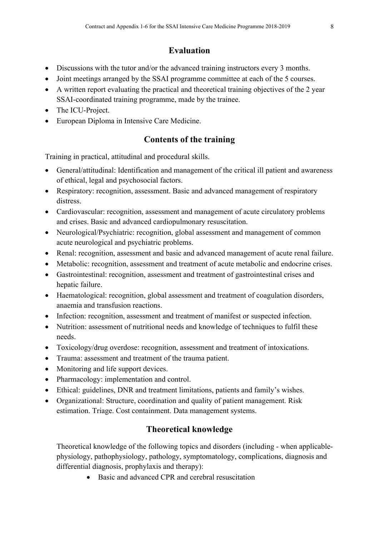## **Evaluation**

- Discussions with the tutor and/or the advanced training instructors every 3 months.
- Joint meetings arranged by the SSAI programme committee at each of the 5 courses.
- A written report evaluating the practical and theoretical training objectives of the 2 year SSAI-coordinated training programme, made by the trainee.
- The ICU-Project.
- European Diploma in Intensive Care Medicine.

## **Contents of the training**

Training in practical, attitudinal and procedural skills.

- General/attitudinal: Identification and management of the critical ill patient and awareness of ethical, legal and psychosocial factors.
- Respiratory: recognition, assessment. Basic and advanced management of respiratory distress.
- Cardiovascular: recognition, assessment and management of acute circulatory problems and crises. Basic and advanced cardiopulmonary resuscitation.
- Neurological/Psychiatric: recognition, global assessment and management of common acute neurological and psychiatric problems.
- Renal: recognition, assessment and basic and advanced management of acute renal failure.
- Metabolic: recognition, assessment and treatment of acute metabolic and endocrine crises.
- Gastrointestinal: recognition, assessment and treatment of gastrointestinal crises and hepatic failure.
- Haematological: recognition, global assessment and treatment of coagulation disorders, anaemia and transfusion reactions.
- Infection: recognition, assessment and treatment of manifest or suspected infection.
- Nutrition: assessment of nutritional needs and knowledge of techniques to fulfil these needs.
- Toxicology/drug overdose: recognition, assessment and treatment of intoxications.
- Trauma: assessment and treatment of the trauma patient.
- Monitoring and life support devices.
- Pharmacology: implementation and control.
- Ethical: guidelines, DNR and treatment limitations, patients and family's wishes.
- Organizational: Structure, coordination and quality of patient management. Risk estimation. Triage. Cost containment. Data management systems.

## **Theoretical knowledge**

Theoretical knowledge of the following topics and disorders (including - when applicablephysiology, pathophysiology, pathology, symptomatology, complications, diagnosis and differential diagnosis, prophylaxis and therapy):

• Basic and advanced CPR and cerebral resuscitation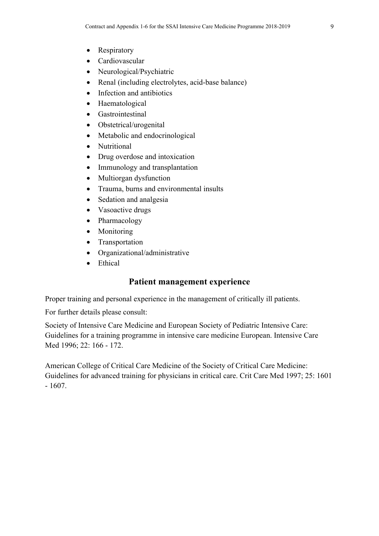- Respiratory
- Cardiovascular
- Neurological/Psychiatric
- Renal (including electrolytes, acid-base balance)
- Infection and antibiotics
- Haematological
- Gastrointestinal
- Obstetrical/urogenital
- Metabolic and endocrinological
- Nutritional
- Drug overdose and intoxication
- Immunology and transplantation
- Multiorgan dysfunction
- Trauma, burns and environmental insults
- Sedation and analgesia
- Vasoactive drugs
- Pharmacology
- Monitoring
- Transportation
- Organizational/administrative
- Ethical

### **Patient management experience**

Proper training and personal experience in the management of critically ill patients.

For further details please consult:

Society of Intensive Care Medicine and European Society of Pediatric Intensive Care: Guidelines for a training programme in intensive care medicine European. Intensive Care Med 1996; 22: 166 - 172.

American College of Critical Care Medicine of the Society of Critical Care Medicine: Guidelines for advanced training for physicians in critical care. Crit Care Med 1997; 25: 1601 - 1607.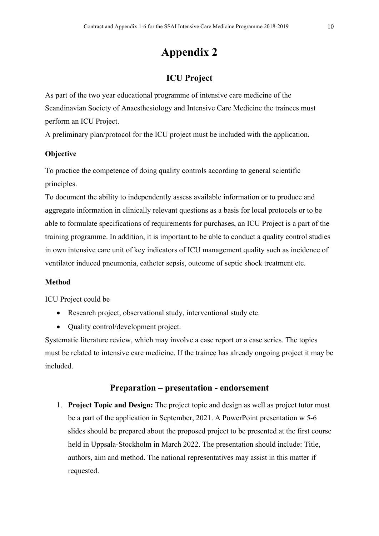## **ICU Project**

As part of the two year educational programme of intensive care medicine of the Scandinavian Society of Anaesthesiology and Intensive Care Medicine the trainees must perform an ICU Project.

A preliminary plan/protocol for the ICU project must be included with the application.

#### **Objective**

To practice the competence of doing quality controls according to general scientific principles.

To document the ability to independently assess available information or to produce and aggregate information in clinically relevant questions as a basis for local protocols or to be able to formulate specifications of requirements for purchases, an ICU Project is a part of the training programme. In addition, it is important to be able to conduct a quality control studies in own intensive care unit of key indicators of ICU management quality such as incidence of ventilator induced pneumonia, catheter sepsis, outcome of septic shock treatment etc.

#### **Method**

ICU Project could be

- Research project, observational study, interventional study etc.
- Quality control/development project.

Systematic literature review, which may involve a case report or a case series. The topics must be related to intensive care medicine. If the trainee has already ongoing project it may be included.

#### **Preparation – presentation - endorsement**

1. **Project Topic and Design:** The project topic and design as well as project tutor must be a part of the application in September, 2021. A PowerPoint presentation w 5-6 slides should be prepared about the proposed project to be presented at the first course held in Uppsala-Stockholm in March 2022. The presentation should include: Title, authors, aim and method. The national representatives may assist in this matter if requested.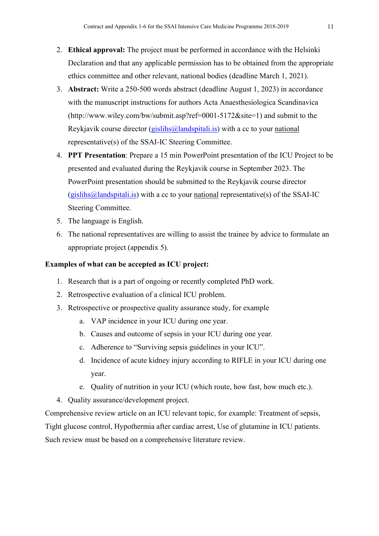- 2. **Ethical approval:** The project must be performed in accordance with the Helsinki Declaration and that any applicable permission has to be obtained from the appropriate ethics committee and other relevant, national bodies (deadline March 1, 2021).
- 3. **Abstract:** Write a 250-500 words abstract (deadline August 1, 2023) in accordance with the manuscript instructions for authors Acta Anaesthesiologica Scandinavica (http://www.wiley.com/bw/submit.asp?ref=0001-5172&site=1) and submit to the Reykjavik course director (gislihs  $\omega$  landspitali. is) with a cc to your [national](mailto:national) representative(s) of the SSAI-IC Steering Committee.
- 4. **PPT Presentation**: Prepare a 15 min PowerPoint presentation of the ICU Project to be presented and evaluated during the Reykjavik course in September 2023. The PowerPoint presentation should be submitted to the Reykjavik course director  $(gishihs@landspitali.is)$  with a cc to your [national](mailto:national) representative(s) of the SSAI-IC Steering Committee.
- 5. The language is English.
- 6. The national representatives are willing to assist the trainee by advice to formulate an appropriate project (appendix 5).

#### **Examples of what can be accepted as ICU project:**

- 1. Research that is a part of ongoing or recently completed PhD work.
- 2. Retrospective evaluation of a clinical ICU problem.
- 3. Retrospective or prospective quality assurance study, for example
	- a. VAP incidence in your ICU during one year.
	- b. Causes and outcome of sepsis in your ICU during one year.
	- c. Adherence to "Surviving sepsis guidelines in your ICU".
	- d. Incidence of acute kidney injury according to RIFLE in your ICU during one year.
	- e. Quality of nutrition in your ICU (which route, how fast, how much etc.).
- 4. Quality assurance/development project.

Comprehensive review article on an ICU relevant topic, for example: Treatment of sepsis, Tight glucose control, Hypothermia after cardiac arrest, Use of glutamine in ICU patients. Such review must be based on a comprehensive literature review.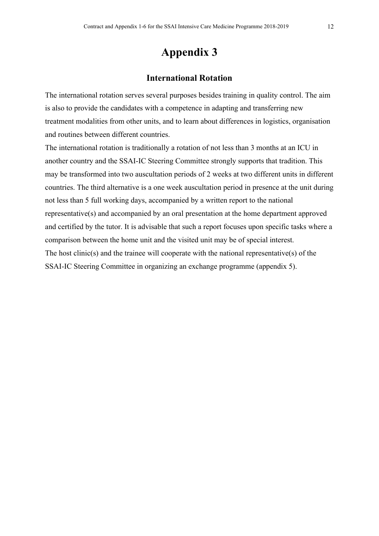#### **International Rotation**

The international rotation serves several purposes besides training in quality control. The aim is also to provide the candidates with a competence in adapting and transferring new treatment modalities from other units, and to learn about differences in logistics, organisation and routines between different countries.

The international rotation is traditionally a rotation of not less than 3 months at an ICU in another country and the SSAI-IC Steering Committee strongly supports that tradition. This may be transformed into two auscultation periods of 2 weeks at two different units in different countries. The third alternative is a one week auscultation period in presence at the unit during not less than 5 full working days, accompanied by a written report to the national representative(s) and accompanied by an oral presentation at the home department approved and certified by the tutor. It is advisable that such a report focuses upon specific tasks where a comparison between the home unit and the visited unit may be of special interest. The host clinic(s) and the trainee will cooperate with the national representative(s) of the SSAI-IC Steering Committee in organizing an exchange programme (appendix 5).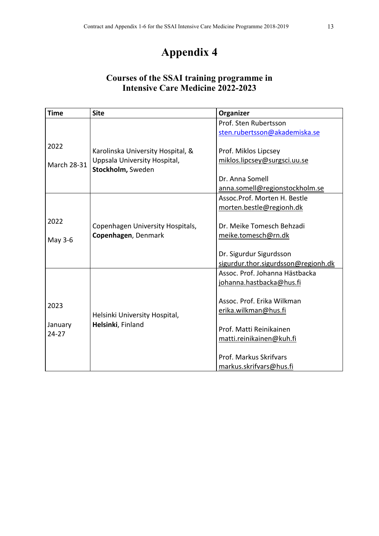## **Courses of the SSAI training programme in Intensive Care Medicine 2022-2023**

| <b>Time</b>        | <b>Site</b>                                       | Organizer                           |
|--------------------|---------------------------------------------------|-------------------------------------|
|                    |                                                   | Prof. Sten Rubertsson               |
|                    |                                                   | sten.rubertsson@akademiska.se       |
| 2022               |                                                   |                                     |
|                    | Karolinska University Hospital, &                 | Prof. Miklos Lipcsey                |
| <b>March 28-31</b> | Uppsala University Hospital,<br>Stockholm, Sweden | miklos.lipcsey@surgsci.uu.se        |
|                    |                                                   | Dr. Anna Somell                     |
|                    |                                                   | anna.somell@regionstockholm.se      |
|                    |                                                   | Assoc.Prof. Morten H. Bestle        |
|                    |                                                   | morten.bestle@regionh.dk            |
| 2022               |                                                   |                                     |
|                    | Copenhagen University Hospitals,                  | Dr. Meike Tomesch Behzadi           |
| May 3-6            | Copenhagen, Denmark                               | meike.tomesch@rn.dk                 |
|                    |                                                   |                                     |
|                    |                                                   | Dr. Sigurdur Sigurdsson             |
|                    |                                                   | sigurdur.thor.sigurdsson@regionh.dk |
|                    |                                                   | Assoc. Prof. Johanna Hästbacka      |
|                    |                                                   | johanna.hastbacka@hus.fi            |
|                    |                                                   | Assoc. Prof. Erika Wilkman          |
| 2023               |                                                   | erika.wilkman@hus.fi                |
|                    | Helsinki University Hospital,                     |                                     |
| January            | Helsinki, Finland                                 | Prof. Matti Reinikainen             |
| $24 - 27$          |                                                   | matti.reinikainen@kuh.fi            |
|                    |                                                   |                                     |
|                    |                                                   | Prof. Markus Skrifvars              |
|                    |                                                   | markus.skrifvars@hus.fi             |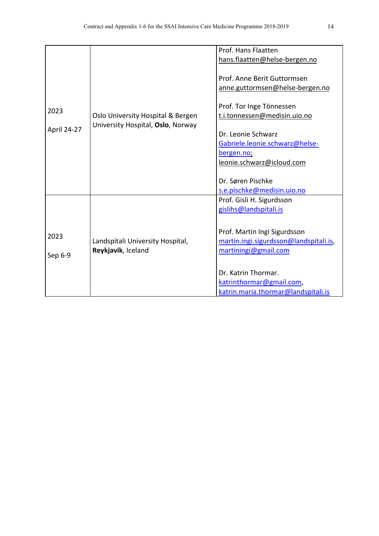|             |                                                                        | Prof. Hans Flaatten                                            |
|-------------|------------------------------------------------------------------------|----------------------------------------------------------------|
|             | Oslo University Hospital & Bergen<br>University Hospital, Oslo, Norway | hans.flaatten@helse-bergen.no                                  |
|             |                                                                        | Prof. Anne Berit Guttormsen<br>anne.guttormsen@helse-bergen.no |
| 2023        |                                                                        | Prof. Tor Inge Tönnessen<br>t.i.tonnessen@medisin.uio.no       |
| April 24-27 |                                                                        | Dr. Leonie Schwarz                                             |
|             |                                                                        | Gabriele.leonie.schwarz@helse-                                 |
|             |                                                                        | bergen.no;                                                     |
|             |                                                                        | leonie.schwarz@icloud.com                                      |
|             |                                                                        | Dr. Søren Pischke                                              |
|             |                                                                        | s.e.pischke@medisin.uio.no                                     |
|             |                                                                        | Prof. Gisli H. Sigurdsson                                      |
|             |                                                                        | gislihs@landspitali.is                                         |
|             |                                                                        |                                                                |
| 2023        | Landspitali University Hospital,                                       | Prof. Martin Ingi Sigurdsson                                   |
|             |                                                                        | martin.ingi.sigurdsson@landspitali.is,                         |
| Sep 6-9     | Reykjavik, Iceland                                                     | martiningi@gmail.com                                           |
|             |                                                                        |                                                                |
|             |                                                                        | Dr. Katrin Thormar.                                            |
|             |                                                                        | katrinthormar@gmail.com,                                       |
|             |                                                                        | katrin.maria.thormar@landspitali.is                            |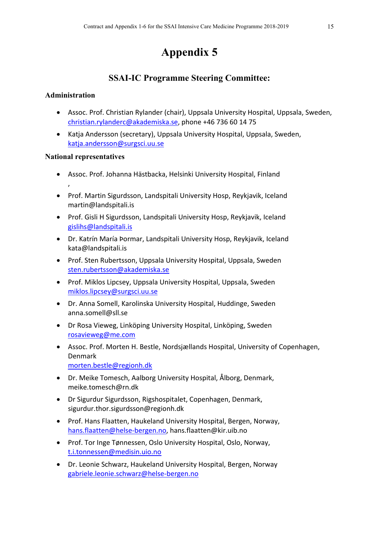## **SSAI-IC Programme Steering Committee:**

#### **Administration**

- Assoc. Prof. Christian Rylander (chair), Uppsala University Hospital, Uppsala, Sweden, [christian.rylanderc@akademiska.se,](mailto:christian.rylanderc@akademiska.se) phone +46 736 60 14 75
- Katja Andersson (secretary), Uppsala University Hospital, Uppsala, Sweden, [katja.andersson@surgsci.uu.se](mailto:katja.andersson@surgsci.uu.se)

#### **National representatives**

- Assoc. Prof. Johanna Hästbacka, Helsinki University Hospital, Finland ,
- Prof. Martin Sigurdsson, Landspitali University Hosp, Reykjavik, Iceland [martin@landspitali.is](mailto:martin@landspitali.is)
- Prof. Gisli H Sigurdsson, Landspitali University Hosp, Reykjavik, Iceland [gislihs@landspitali.is](mailto:gislihs@landspitali.is)
- Dr. Katrín María Þormar, Landspitali University Hosp, Reykjavik, Iceland [kata@landspitali.is](mailto:kata@landspitali.is)
- Prof. Sten Rubertsson, Uppsala University Hospital, Uppsala, Sweden [sten.rubertsson@akademiska.se](mailto:sten.rubertsson@akademiska.se)
- Prof. Miklos Lipcsey, Uppsala University Hospital, Uppsala, Sweden [miklos.lipcsey@surgsci.uu.se](mailto:miklos.lipcsey@surgsci.uu.se)
- Dr. Anna Somell, Karolinska University Hospital, Huddinge, Sweden [anna.somell@sll.se](mailto:anna.somell@sll.se)
- Dr Rosa Vieweg, Linköping University Hospital, Linköping, Sweden [rosavieweg@me.com](mailto:rosavieweg@me.com)
- Assoc. Prof. Morten H. Bestle, Nordsjællands Hospital, University of Copenhagen, Denmark [morten.bestle@regionh.dk](mailto:morten.bestle@regionh.dk)
- Dr. Meike Tomesch, Aalborg University Hospital, Ålborg, Denmark, [meike.tomesch@rn.dk](mailto:meike.tomesch@rn.dk)
- Dr Sigurdur Sigurdsson, Rigshospitalet, Copenhagen, Denmark, [sigurdur.thor.sigurdsson@regionh.dk](mailto:sigurdur.thor.sigurdsson@regionh.dk)
- Prof. Hans Flaatten, Haukeland University Hospital, Bergen, Norway, [hans.flaatten@helse-bergen.no,](mailto:hans.flaatten@helse-bergen.no) [hans.flaatten@kir.uib.no](mailto:hans.flaatten@kir.uib.no)
- Prof. Tor Inge Tønnessen, Oslo University Hospital, Oslo, Norway, [t.i.tonnessen@medisin.uio.no](mailto:t.i.tonnessen@medisin.uio.no)
- Dr. Leonie Schwarz, Haukeland University Hospital, Bergen, Norway [gabriele.leonie.schwarz@helse-bergen.no](mailto:gabriele.leonie.schwarz@helse-bergen.no)